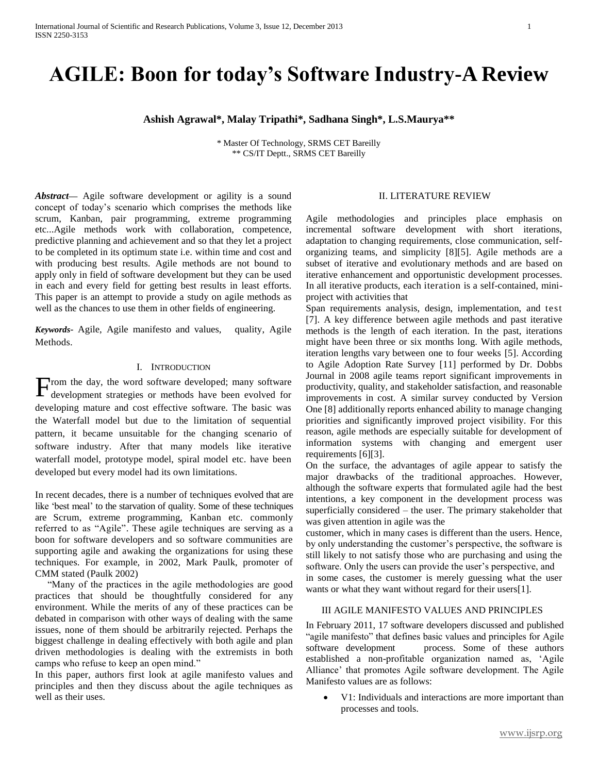# **AGILE: Boon for today's Software Industry-A Review**

**Ashish Agrawal\*, Malay Tripathi\*, Sadhana Singh\*, L.S.Maurya\*\***

\* Master Of Technology, SRMS CET Bareilly \*\* CS/IT Deptt., SRMS CET Bareilly

*Abstract***—** Agile software development or agility is a sound concept of today's scenario which comprises the methods like scrum, Kanban, pair programming, extreme programming etc...Agile methods work with collaboration, competence, predictive planning and achievement and so that they let a project to be completed in its optimum state i.e. within time and cost and with producing best results. Agile methods are not bound to apply only in field of software development but they can be used in each and every field for getting best results in least efforts. This paper is an attempt to provide a study on agile methods as well as the chances to use them in other fields of engineering.

*Keywords*- Agile, Agile manifesto and values, quality, Agile Methods.

#### I. INTRODUCTION

rom the day, the word software developed; many software From the day, the word software developed; many software development strategies or methods have been evolved for developing mature and cost effective software. The basic was the Waterfall model but due to the limitation of sequential pattern, it became unsuitable for the changing scenario of software industry. After that many models like iterative waterfall model, prototype model, spiral model etc. have been developed but every model had its own limitations.

In recent decades, there is a number of techniques evolved that are like 'best meal' to the starvation of quality. Some of these techniques are Scrum, extreme programming, Kanban etc. commonly referred to as "Agile". These agile techniques are serving as a boon for software developers and so software communities are supporting agile and awaking the organizations for using these techniques. For example, in 2002, Mark Paulk, promoter of CMM stated (Paulk 2002)

 "Many of the practices in the agile methodologies are good practices that should be thoughtfully considered for any environment. While the merits of any of these practices can be debated in comparison with other ways of dealing with the same issues, none of them should be arbitrarily rejected. Perhaps the biggest challenge in dealing effectively with both agile and plan driven methodologies is dealing with the extremists in both camps who refuse to keep an open mind."

In this paper, authors first look at agile manifesto values and principles and then they discuss about the agile techniques as well as their uses.

## II. LITERATURE REVIEW

Agile methodologies and principles place emphasis on incremental software development with short iterations, adaptation to changing requirements, close communication, selforganizing teams, and simplicity [8][5]. Agile methods are a subset of iterative and evolutionary methods and are based on iterative enhancement and opportunistic development processes. In all iterative products, each iteration is a self-contained, miniproject with activities that

Span requirements analysis, design, implementation, and test [7]. A key difference between agile methods and past iterative methods is the length of each iteration. In the past, iterations might have been three or six months long. With agile methods, iteration lengths vary between one to four weeks [5]. According to Agile Adoption Rate Survey [11] performed by Dr. Dobbs Journal in 2008 agile teams report significant improvements in productivity, quality, and stakeholder satisfaction, and reasonable improvements in cost. A similar survey conducted by Version One [8] additionally reports enhanced ability to manage changing priorities and significantly improved project visibility. For this reason, agile methods are especially suitable for development of information systems with changing and emergent user requirements [6][3].

On the surface, the advantages of agile appear to satisfy the major drawbacks of the traditional approaches. However, although the software experts that formulated agile had the best intentions, a key component in the development process was superficially considered – the user. The primary stakeholder that was given attention in agile was the

customer, which in many cases is different than the users. Hence, by only understanding the customer's perspective, the software is still likely to not satisfy those who are purchasing and using the software. Only the users can provide the user's perspective, and in some cases, the customer is merely guessing what the user wants or what they want without regard for their users[1].

#### III AGILE MANIFESTO VALUES AND PRINCIPLES

In February 2011, 17 software developers discussed and published "agile manifesto" that defines basic values and principles for Agile software development process. Some of these authors established a non-profitable organization named as, 'Agile Alliance' that promotes Agile software development. The Agile Manifesto values are as follows:

 V1: Individuals and interactions are more important than processes and tools.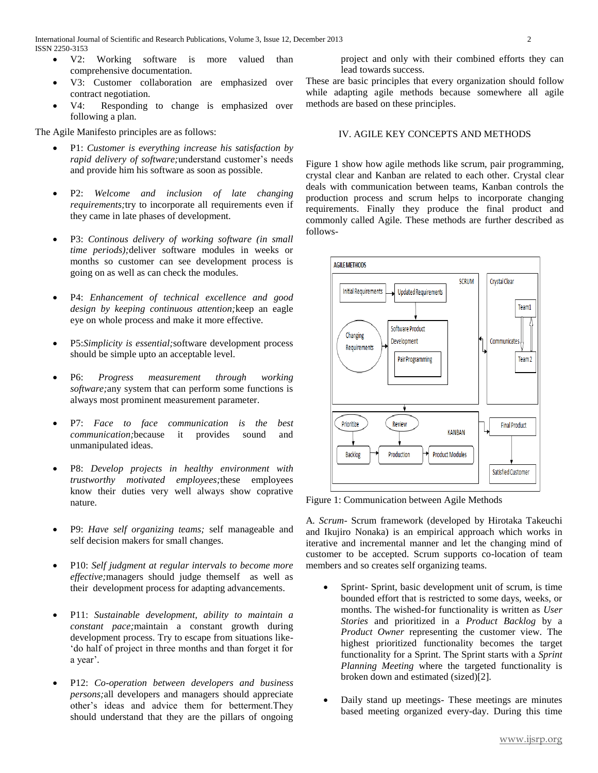- V2: Working software is more valued than comprehensive documentation.
- V3: Customer collaboration are emphasized over contract negotiation.
- V4: Responding to change is emphasized over following a plan.

The Agile Manifesto principles are as follows:

- P1: *Customer is everything increase his satisfaction by rapid delivery of software;*understand customer's needs and provide him his software as soon as possible.
- P2: *Welcome and inclusion of late changing requirements;*try to incorporate all requirements even if they came in late phases of development.
- P3: *Continous delivery of working software (in small time periods);*deliver software modules in weeks or months so customer can see development process is going on as well as can check the modules.
- P4: *Enhancement of technical excellence and good design by keeping continuous attention;*keep an eagle eye on whole process and make it more effective.
- P5:*Simplicity is essential;*software development process should be simple upto an acceptable level.
- P6: *Progress measurement through working software;*any system that can perform some functions is always most prominent measurement parameter.
- P7: *Face to face communication is the best communication;*because it provides sound and unmanipulated ideas.
- P8: *Develop projects in healthy environment with trustworthy motivated employees;*these employees know their duties very well always show coprative nature.
- P9: *Have self organizing teams;* self manageable and self decision makers for small changes.
- P10: *Self judgment at regular intervals to become more effective;*managers should judge themself as well as their development process for adapting advancements.
- P11: *Sustainable development, ability to maintain a constant pace;*maintain a constant growth during development process. Try to escape from situations like- 'do half of project in three months and than forget it for a year'.
- P12: *Co-operation between developers and business persons;*all developers and managers should appreciate other's ideas and advice them for betterment.They should understand that they are the pillars of ongoing

project and only with their combined efforts they can lead towards success.

These are basic principles that every organization should follow while adapting agile methods because somewhere all agile methods are based on these principles.

## IV. AGILE KEY CONCEPTS AND METHODS

Figure 1 show how agile methods like scrum, pair programming, crystal clear and Kanban are related to each other. Crystal clear deals with communication between teams, Kanban controls the production process and scrum helps to incorporate changing requirements. Finally they produce the final product and commonly called Agile. These methods are further described as follows-



Figure 1: Communication between Agile Methods

A*. Scrum*- Scrum framework (developed by Hirotaka Takeuchi and Ikujiro Nonaka) is an empirical approach which works in iterative and incremental manner and let the changing mind of customer to be accepted. Scrum supports co-location of team members and so creates self organizing teams.

- Sprint- Sprint, basic development unit of scrum, is time bounded effort that is restricted to some days, weeks, or months. The wished-for functionality is written as *User Stories* and prioritized in a *Product Backlog* by a *Product Owner* representing the customer view. The highest prioritized functionality becomes the target functionality for a Sprint. The Sprint starts with a *Sprint Planning Meeting* where the targeted functionality is broken down and estimated (sized)[2].
- Daily stand up meetings- These meetings are minutes based meeting organized every-day. During this time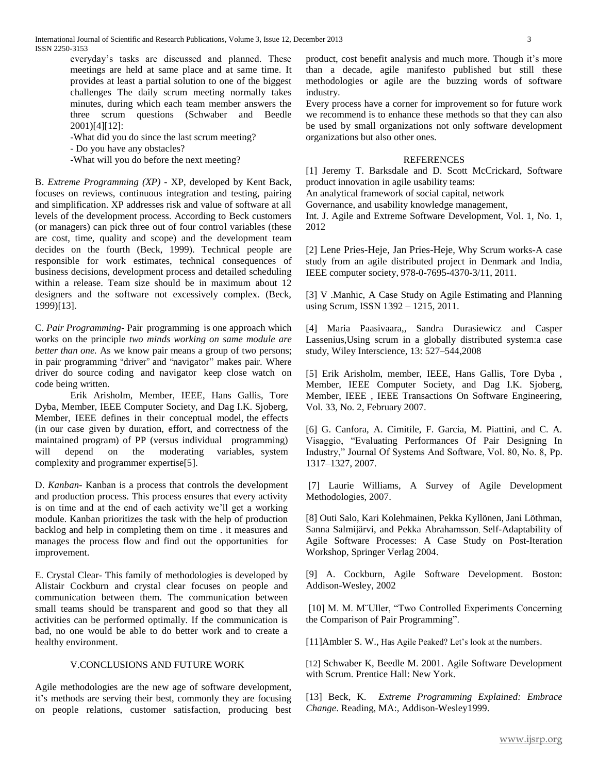everyday's tasks are discussed and planned. These meetings are held at same place and at same time. It provides at least a partial solution to one of the biggest challenges The daily scrum meeting normally takes minutes, during which each team member answers the three scrum questions (Schwaber and Beedle 2001)[4][12]:

- -What did you do since the last scrum meeting?
- Do you have any obstacles?
- -What will you do before the next meeting?

B. *Extreme Programming (XP) -* XP, developed by Kent Back, focuses on reviews, continuous integration and testing, pairing and simplification. XP addresses risk and value of software at all levels of the development process. According to Beck customers (or managers) can pick three out of four control variables (these are cost, time, quality and scope) and the development team decides on the fourth (Beck, 1999). Technical people are responsible for work estimates, technical consequences of business decisions, development process and detailed scheduling within a release. Team size should be in maximum about 12 designers and the software not excessively complex. (Beck, 1999)[13].

C. *Pair Programming*- Pair programming is one approach which works on the principle *two minds working on same module are better than one.* As we know pair means a group of two persons; in pair programming "driver" and "navigator" makes pair. Where driver do source coding and navigator keep close watch on code being written.

Erik Arisholm, Member, IEEE, Hans Gallis, Tore Dyba, Member, IEEE Computer Society, and Dag I.K. Sjoberg, Member, IEEE defines in their conceptual model, the effects (in our case given by duration, effort, and correctness of the maintained program) of PP (versus individual programming) will depend on the moderating variables, system complexity and programmer expertise[5].

D. *Kanban*- Kanban is a process that controls the development and production process. This process ensures that every activity is on time and at the end of each activity we'll get a working module. Kanban prioritizes the task with the help of production backlog and help in completing them on time . it measures and manages the process flow and find out the opportunities for improvement.

E. Crystal Clear- This family of methodologies is developed by Alistair Cockburn and crystal clear focuses on people and communication between them. The communication between small teams should be transparent and good so that they all activities can be performed optimally. If the communication is bad, no one would be able to do better work and to create a healthy environment.

### V.CONCLUSIONS AND FUTURE WORK

Agile methodologies are the new age of software development, it's methods are serving their best, commonly they are focusing on people relations, customer satisfaction, producing best product, cost benefit analysis and much more. Though it's more than a decade, agile manifesto published but still these methodologies or agile are the buzzing words of software industry.

Every process have a corner for improvement so for future work we recommend is to enhance these methods so that they can also be used by small organizations not only software development organizations but also other ones.

#### REFERENCES

[1] Jeremy T. Barksdale and D. Scott McCrickard, Software product innovation in agile usability teams:

An analytical framework of social capital, network

Governance, and usability knowledge management,

Int. J. Agile and Extreme Software Development, Vol. 1, No. 1, 2012

[2] Lene Pries-Heje, Jan Pries-Heje, Why Scrum works-A case study from an agile distributed project in Denmark and India, IEEE computer society, 978-0-7695-4370-3/11, 2011.

[3] V .Manhic, A Case Study on Agile Estimating and Planning using Scrum, ISSN 1392 – 1215, 2011.

[4] Maria Paasivaara,*,* Sandra Durasiewicz and Casper Lassenius,Using scrum in a globally distributed system:a case study, Wiley Interscience, 13: 527–544,2008

[5] Erik Arisholm, member, IEEE, Hans Gallis, Tore Dyba , Member, IEEE Computer Society, and Dag I.K. Sjoberg, Member, IEEE , IEEE Transactions On Software Engineering, Vol. 33, No. 2, February 2007.

[6] G. Canfora, A. Cimitile, F. Garcia, M. Piattini, and C. A. Visaggio, "Evaluating Performances Of Pair Designing In Industry," Journal Of Systems And Software, Vol. 80, No. 8, Pp. 1317–1327, 2007.

[7] Laurie Williams, A Survey of Agile Development Methodologies, 2007.

[8] Outi Salo, Kari Kolehmainen, Pekka Kyllönen, Jani Löthman, Sanna Salmijärvi, and Pekka Abrahamsson, Self-Adaptability of Agile Software Processes: A Case Study on Post-Iteration Workshop, Springer Verlag 2004.

[9] A. Cockburn, Agile Software Development. Boston: Addison-Wesley, 2002

[10] M. M. M¨Uller, "Two Controlled Experiments Concerning the Comparison of Pair Programming".

[11]Ambler S. W., Has Agile Peaked? Let's look at the numbers.

[12] Schwaber K, Beedle M. 2001. Agile Software Development with Scrum. Prentice Hall: New York.

[13] Beck, K. *Extreme Programming Explained: Embrace Change*. Reading, MA:, Addison-Wesley1999.